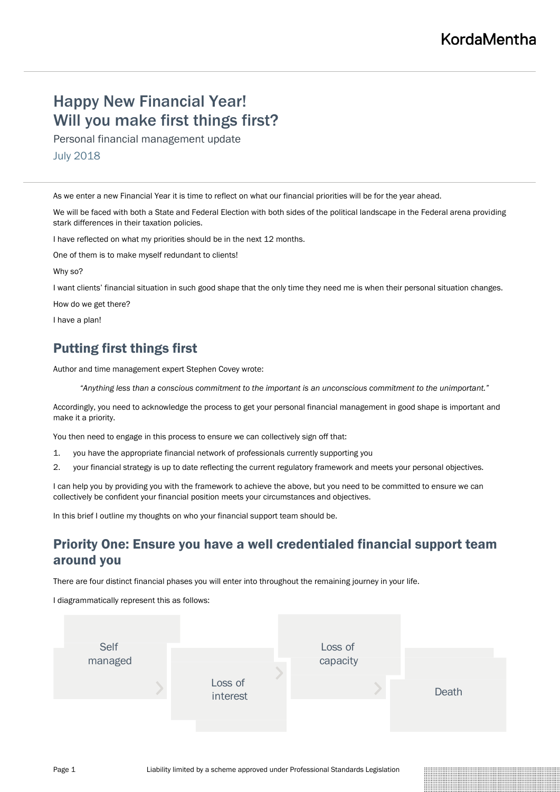# Happy New Financial Year! Will you make first things first?

Personal financial management update

July 2018

As we enter a new Financial Year it is time to reflect on what our financial priorities will be for the year ahead.

We will be faced with both a State and Federal Election with both sides of the political landscape in the Federal arena providing stark differences in their taxation policies.

I have reflected on what my priorities should be in the next 12 months.

One of them is to make myself redundant to clients!

Why so?

I want clients' financial situation in such good shape that the only time they need me is when their personal situation changes.

How do we get there?

I have a plan!

# Putting first things first

Author and time management expert Stephen Covey wrote:

*"Anything less than a conscious commitment to the important is an unconscious commitment to the unimportant."*

Accordingly, you need to acknowledge the process to get your personal financial management in good shape is important and make it a priority.

You then need to engage in this process to ensure we can collectively sign off that:

- 1. you have the appropriate financial network of professionals currently supporting you
- 2. your financial strategy is up to date reflecting the current regulatory framework and meets your personal objectives.

I can help you by providing you with the framework to achieve the above, but you need to be committed to ensure we can collectively be confident your financial position meets your circumstances and objectives.

In this brief I outline my thoughts on who your financial support team should be.

## Priority One: Ensure you have a well credentialed financial support team around you

There are four distinct financial phases you will enter into throughout the remaining journey in your life.

I diagrammatically represent this as follows:

| Self    |                     |  | Loss of<br>capacity |  |       |
|---------|---------------------|--|---------------------|--|-------|
| managed | Loss of<br>interest |  |                     |  | Death |
|         |                     |  |                     |  |       |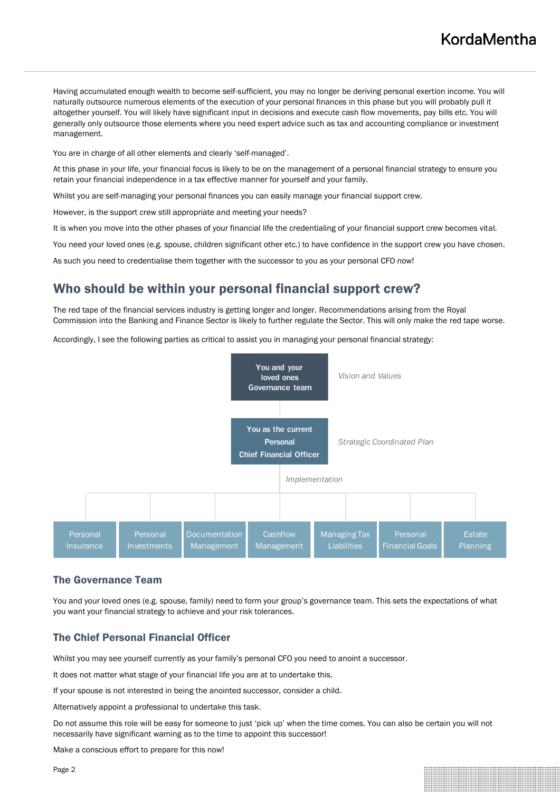Having accumulated enough wealth to become self-sufficient, you may no longer be deriving personal exertion income. You will naturally outsource numerous elements of the execution of your personal finances in this phase but you will probably pull it altogether yourself. You will likely have significant input in decisions and execute cash flow movements, pay bills etc. You will generally only outsource those elements where you need expert advice such as tax and accounting compliance or investment management.

You are in charge of all other elements and clearly 'self-managed'.

At this phase in your life, your financial focus is likely to be on the management of a personal financial strategy to ensure you retain your financial independence in a tax effective manner for yourself and your family.

Whilst you are self-managing your personal finances you can easily manage your financial support crew.

However, is the support crew still appropriate and meeting your needs?

It is when you move into the other phases of your financial life the credentialing of your financial support crew becomes vital.

You need your loved ones (e.g. spouse, children significant other etc.) to have confidence in the support crew you have chosen.

As such you need to credentialise them together with the successor to you as your personal CFO now!

### Who should be within your personal financial support crew?

The red tape of the financial services industry is getting longer and longer. Recommendations arising from the Royal Commission into the Banking and Finance Sector is likely to further regulate the Sector. This will only make the red tape worse.

Accordingly, I see the following parties as critical to assist you in managing your personal financial strategy:



#### The Governance Team

You and your loved ones (e.g. spouse, family) need to form your group's governance team. This sets the expectations of what you want your financial strategy to achieve and your risk tolerances.

#### The Chief Personal Financial Officer

Whilst you may see yourself currently as your family's personal CFO you need to anoint a successor.

It does not matter what stage of your financial life you are at to undertake this.

If your spouse is not interested in being the anointed successor, consider a child.

Alternatively appoint a professional to undertake this task.

Do not assume this role will be easy for someone to just 'pick up' when the time comes. You can also be certain you will not necessarily have significant warning as to the time to appoint this successor!

Make a conscious effort to prepare for this now!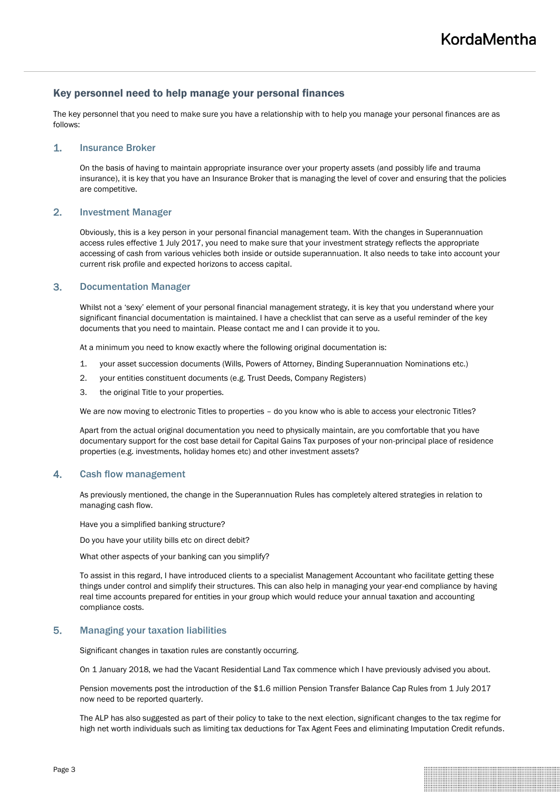#### Key personnel need to help manage your personal finances

The key personnel that you need to make sure you have a relationship with to help you manage your personal finances are as follows:

#### 1. Insurance Broker

On the basis of having to maintain appropriate insurance over your property assets (and possibly life and trauma insurance), it is key that you have an Insurance Broker that is managing the level of cover and ensuring that the policies are competitive.

#### 2. Investment Manager

Obviously, this is a key person in your personal financial management team. With the changes in Superannuation access rules effective 1 July 2017, you need to make sure that your investment strategy reflects the appropriate accessing of cash from various vehicles both inside or outside superannuation. It also needs to take into account your current risk profile and expected horizons to access capital.

#### 3. Documentation Manager

Whilst not a 'sexy' element of your personal financial management strategy, it is key that you understand where your significant financial documentation is maintained. I have a checklist that can serve as a useful reminder of the key documents that you need to maintain. Please contact me and I can provide it to you.

At a minimum you need to know exactly where the following original documentation is:

- 1. your asset succession documents (Wills, Powers of Attorney, Binding Superannuation Nominations etc.)
- 2. your entities constituent documents (e.g. Trust Deeds, Company Registers)
- 3. the original Title to your properties.

We are now moving to electronic Titles to properties - do you know who is able to access your electronic Titles?

Apart from the actual original documentation you need to physically maintain, are you comfortable that you have documentary support for the cost base detail for Capital Gains Tax purposes of your non-principal place of residence properties (e.g. investments, holiday homes etc) and other investment assets?

#### 4. Cash flow management

As previously mentioned, the change in the Superannuation Rules has completely altered strategies in relation to managing cash flow.

Have you a simplified banking structure?

Do you have your utility bills etc on direct debit?

What other aspects of your banking can you simplify?

To assist in this regard, I have introduced clients to a specialist Management Accountant who facilitate getting these things under control and simplify their structures. This can also help in managing your year-end compliance by having real time accounts prepared for entities in your group which would reduce your annual taxation and accounting compliance costs.

#### 5. Managing your taxation liabilities

Significant changes in taxation rules are constantly occurring.

On 1 January 2018, we had the Vacant Residential Land Tax commence which I have previously advised you about.

Pension movements post the introduction of the \$1.6 million Pension Transfer Balance Cap Rules from 1 July 2017 now need to be reported quarterly.

The ALP has also suggested as part of their policy to take to the next election, significant changes to the tax regime for high net worth individuals such as limiting tax deductions for Tax Agent Fees and eliminating Imputation Credit refunds.